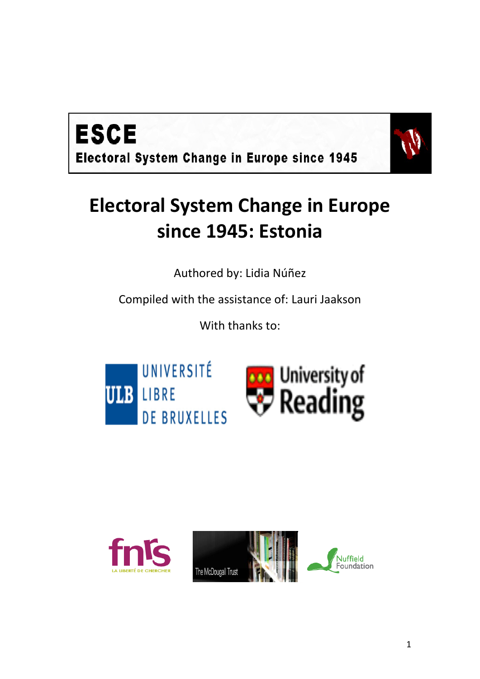



# **Electoral System Change in Europe since 1945: Estonia**

Authored by: Lidia Núñez

Compiled with the assistance of: Lauri Jaakson

With thanks to:





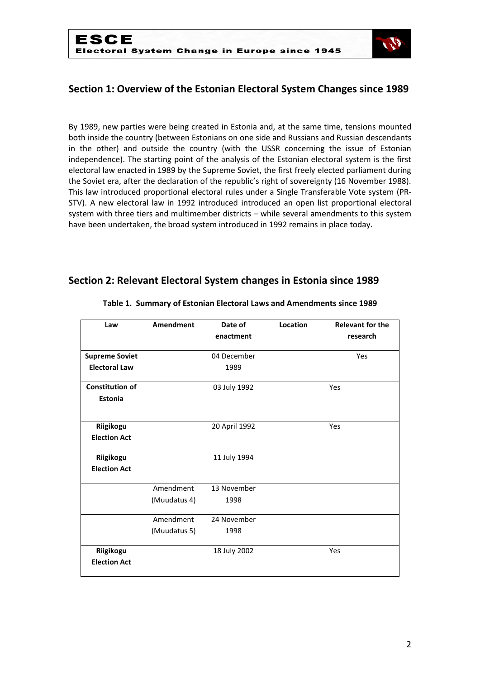

## **Section 1: Overview of the Estonian Electoral System Changes since 1989**

By 1989, new parties were being created in Estonia and, at the same time, tensions mounted both inside the country (between Estonians on one side and Russians and Russian descendants in the other) and outside the country (with the USSR concerning the issue of Estonian independence). The starting point of the analysis of the Estonian electoral system is the first electoral law enacted in 1989 by the Supreme Soviet, the first freely elected parliament during the Soviet era, after the declaration of the republic's right of sovereignty (16 November 1988). This law introduced proportional electoral rules under a Single Transferable Vote system (PR-STV). A new electoral law in 1992 introduced introduced an open list proportional electoral system with three tiers and multimember districts – while several amendments to this system have been undertaken, the broad system introduced in 1992 remains in place today.

### **Section 2: Relevant Electoral System changes in Estonia since 1989**

| Law                    | Amendment    | Date of       | Location | <b>Relevant for the</b> |
|------------------------|--------------|---------------|----------|-------------------------|
|                        |              | enactment     |          | research                |
| <b>Supreme Soviet</b>  |              | 04 December   |          | Yes                     |
| <b>Electoral Law</b>   |              | 1989          |          |                         |
| <b>Constitution of</b> |              | 03 July 1992  |          | Yes                     |
| Estonia                |              |               |          |                         |
|                        |              |               |          |                         |
| Riigikogu              |              | 20 April 1992 |          | Yes                     |
| <b>Election Act</b>    |              |               |          |                         |
| Riigikogu              |              | 11 July 1994  |          |                         |
| <b>Election Act</b>    |              |               |          |                         |
|                        | Amendment    | 13 November   |          |                         |
|                        | (Muudatus 4) | 1998          |          |                         |
|                        | Amendment    | 24 November   |          |                         |
|                        | (Muudatus 5) | 1998          |          |                         |
| Riigikogu              |              | 18 July 2002  |          | Yes                     |
| <b>Election Act</b>    |              |               |          |                         |

#### **Table 1. Summary of Estonian Electoral Laws and Amendments since 1989**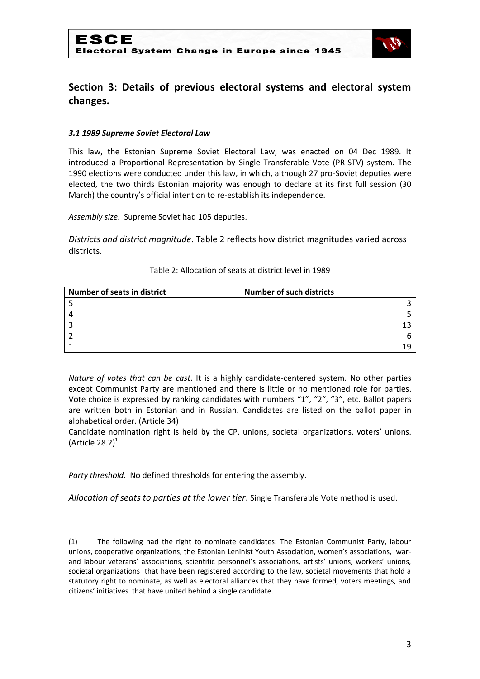

## **Section 3: Details of previous electoral systems and electoral system changes.**

#### *3.1 1989 Supreme Soviet Electoral Law*

This law, the Estonian Supreme Soviet Electoral Law, was enacted on 04 Dec 1989. It introduced a Proportional Representation by Single Transferable Vote (PR-STV) system. The 1990 elections were conducted under this law, in which, although 27 pro-Soviet deputies were elected, the two thirds Estonian majority was enough to declare at its first full session (30 March) the country's official intention to re-establish its independence.

*Assembly size*. Supreme Soviet had 105 deputies.

*Districts and district magnitude*. Table 2 reflects how district magnitudes varied across districts.

| <b>Number of seats in district</b> | <b>Number of such districts</b> |
|------------------------------------|---------------------------------|
|                                    |                                 |
|                                    |                                 |
|                                    |                                 |
|                                    |                                 |
|                                    |                                 |

#### Table 2: Allocation of seats at district level in 1989

*Nature of votes that can be cast*. It is a highly candidate-centered system. No other parties except Communist Party are mentioned and there is little or no mentioned role for parties. Vote choice is expressed by ranking candidates with numbers "1", "2", "3", etc. Ballot papers are written both in Estonian and in Russian. Candidates are listed on the ballot paper in alphabetical order. (Article 34)

Candidate nomination right is held by the CP, unions, societal organizations, voters' unions. (Article 28.2) $1$ 

*Party threshold*. No defined thresholds for entering the assembly.

**.** 

*Allocation of seats to parties at the lower tier*. Single Transferable Vote method is used.

<sup>(1)</sup> The following had the right to nominate candidates: The Estonian Communist Party, labour unions, cooperative organizations, the Estonian Leninist Youth Association, women's associations, warand labour veterans' associations, scientific personnel's associations, artists' unions, workers' unions, societal organizations that have been registered according to the law, societal movements that hold a statutory right to nominate, as well as electoral alliances that they have formed, voters meetings, and citizens' initiatives that have united behind a single candidate.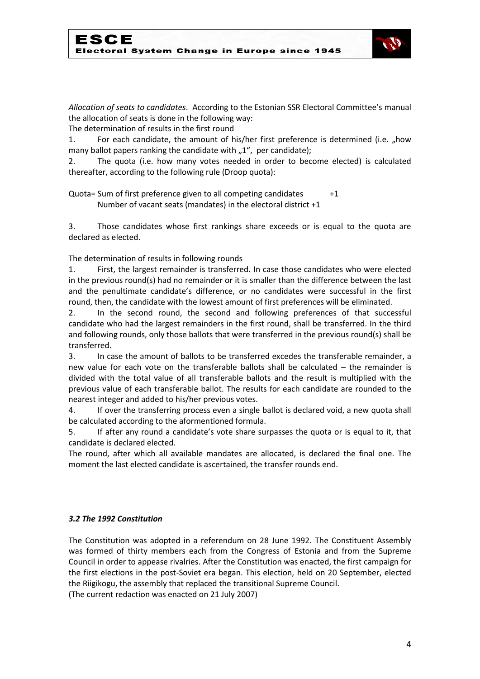

*Allocation of seats to candidates*. According to the Estonian SSR Electoral Committee's manual the allocation of seats is done in the following way:

The determination of results in the first round

1. For each candidate, the amount of his/her first preference is determined (i.e., how many ballot papers ranking the candidate with  $n^2$ , per candidate);

2. The quota (i.e. how many votes needed in order to become elected) is calculated thereafter, according to the following rule (Droop quota):

Quota= Sum of first preference given to all competing candidates  $+1$ Number of vacant seats (mandates) in the electoral district +1

3. Those candidates whose first rankings share exceeds or is equal to the quota are declared as elected.

The determination of results in following rounds

1. First, the largest remainder is transferred. In case those candidates who were elected in the previous round(s) had no remainder or it is smaller than the difference between the last and the penultimate candidate's difference, or no candidates were successful in the first round, then, the candidate with the lowest amount of first preferences will be eliminated.

2. In the second round, the second and following preferences of that successful candidate who had the largest remainders in the first round, shall be transferred. In the third and following rounds, only those ballots that were transferred in the previous round(s) shall be transferred.

3. In case the amount of ballots to be transferred excedes the transferable remainder, a new value for each vote on the transferable ballots shall be calculated – the remainder is divided with the total value of all transferable ballots and the result is multiplied with the previous value of each transferable ballot. The results for each candidate are rounded to the nearest integer and added to his/her previous votes.

4. If over the transferring process even a single ballot is declared void, a new quota shall be calculated according to the aformentioned formula.

5. If after any round a candidate's vote share surpasses the quota or is equal to it, that candidate is declared elected.

The round, after which all available mandates are allocated, is declared the final one. The moment the last elected candidate is ascertained, the transfer rounds end.

#### *3.2 The 1992 Constitution*

The Constitution was adopted in a referendum on 28 June 1992. The Constituent Assembly was formed of thirty members each from the Congress of Estonia and from the Supreme Council in order to appease rivalries. After the Constitution was enacted, the first campaign for the first elections in the post-Soviet era began. This election, held on 20 September, elected the Riigikogu, the assembly that replaced the transitional Supreme Council.

(The current redaction was enacted on 21 July 2007)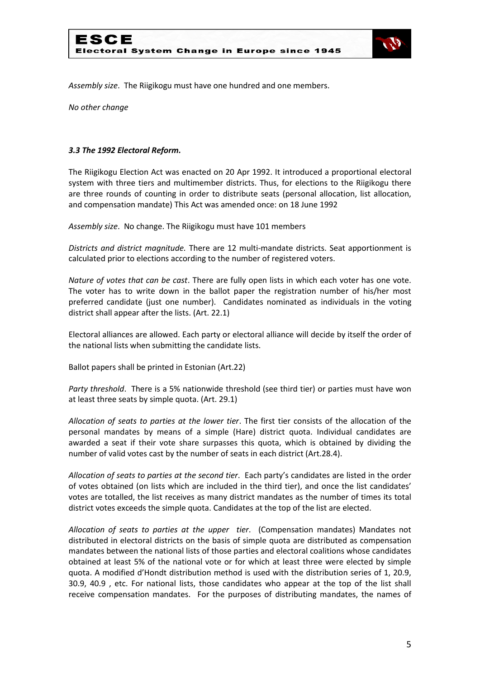

*Assembly size*. The Riigikogu must have one hundred and one members.

*No other change*

#### *3.3 The 1992 Electoral Reform.*

The Riigikogu Election Act was enacted on 20 Apr 1992. It introduced a proportional electoral system with three tiers and multimember districts. Thus, for elections to the Riigikogu there are three rounds of counting in order to distribute seats (personal allocation, list allocation, and compensation mandate) This Act was amended once: on 18 June 1992

*Assembly size*. No change. The Riigikogu must have 101 members

*Districts and district magnitude.* There are 12 multi-mandate districts. Seat apportionment is calculated prior to elections according to the number of registered voters.

*Nature of votes that can be cast*. There are fully open lists in which each voter has one vote. The voter has to write down in the ballot paper the registration number of his/her most preferred candidate (just one number). Candidates nominated as individuals in the voting district shall appear after the lists. (Art. 22.1)

Electoral alliances are allowed. Each party or electoral alliance will decide by itself the order of the national lists when submitting the candidate lists.

Ballot papers shall be printed in Estonian (Art.22)

*Party threshold*. There is a 5% nationwide threshold (see third tier) or parties must have won at least three seats by simple quota. (Art. 29.1)

*Allocation of seats to parties at the lower tier*. The first tier consists of the allocation of the personal mandates by means of a simple (Hare) district quota. Individual candidates are awarded a seat if their vote share surpasses this quota, which is obtained by dividing the number of valid votes cast by the number of seats in each district (Art.28.4).

*Allocation of seats to parties at the second tier*. Each party's candidates are listed in the order of votes obtained (on lists which are included in the third tier), and once the list candidates' votes are totalled, the list receives as many district mandates as the number of times its total district votes exceeds the simple quota. Candidates at the top of the list are elected.

*Allocation of seats to parties at the upper tier*. (Compensation mandates) Mandates not distributed in electoral districts on the basis of simple quota are distributed as compensation mandates between the national lists of those parties and electoral coalitions whose candidates obtained at least 5% of the national vote or for which at least three were elected by simple quota. A modified d'Hondt distribution method is used with the distribution series of 1, 20.9, 30.9, 40.9 , etc. For national lists, those candidates who appear at the top of the list shall receive compensation mandates. For the purposes of distributing mandates, the names of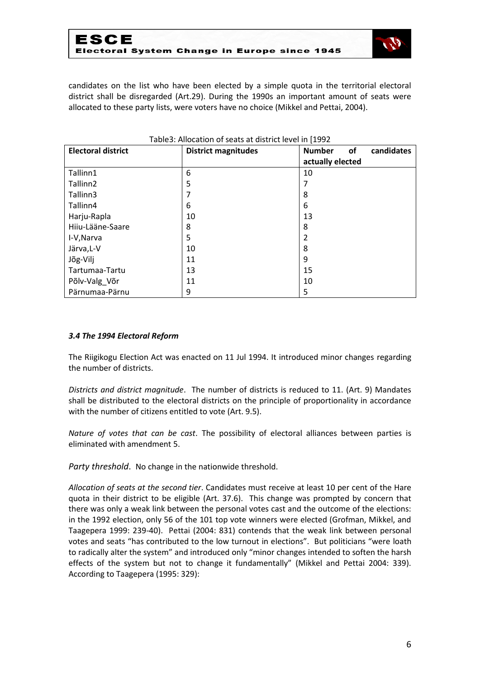

candidates on the list who have been elected by a simple quota in the territorial electoral district shall be disregarded (Art.29). During the 1990s an important amount of seats were allocated to these party lists, were voters have no choice (Mikkel and Pettai, 2004).

| <b>Electoral district</b> | <b>District magnitudes</b> | candidates<br><b>Number</b><br>of |
|---------------------------|----------------------------|-----------------------------------|
|                           |                            | actually elected                  |
| Tallinn1                  | 6                          | 10                                |
| Tallinn <sub>2</sub>      | 5                          |                                   |
| Tallinn3                  | 7                          | 8                                 |
| Tallinn4                  | 6                          | 6                                 |
| Harju-Rapla               | 10                         | 13                                |
| Hiiu-Lääne-Saare          | 8                          | 8                                 |
| I-V, Narva                | 5                          | 2                                 |
| Järva, L-V                | 10                         | 8                                 |
| Jõg-Vilj                  | 11                         | 9                                 |
| Tartumaa-Tartu            | 13                         | 15                                |
| Põlv-Valg_Võr             | 11                         | 10                                |
| Pärnumaa-Pärnu            | 9                          | 5                                 |

#### Table3: Allocation of seats at district level in [1992

#### *3.4 The 1994 Electoral Reform*

The Riigikogu Election Act was enacted on 11 Jul 1994. It introduced minor changes regarding the number of districts.

*Districts and district magnitude*. The number of districts is reduced to 11. (Art. 9) Mandates shall be distributed to the electoral districts on the principle of proportionality in accordance with the number of citizens entitled to vote (Art. 9.5).

*Nature of votes that can be cast*. The possibility of electoral alliances between parties is eliminated with amendment 5.

*Party threshold*. No change in the nationwide threshold.

*Allocation of seats at the second tier*. Candidates must receive at least 10 per cent of the Hare quota in their district to be eligible (Art. 37.6). This change was prompted by concern that there was only a weak link between the personal votes cast and the outcome of the elections: in the 1992 election, only 56 of the 101 top vote winners were elected (Grofman, Mikkel, and Taagepera 1999: 239-40). Pettai (2004: 831) contends that the weak link between personal votes and seats "has contributed to the low turnout in elections". But politicians "were loath to radically alter the system" and introduced only "minor changes intended to soften the harsh effects of the system but not to change it fundamentally" (Mikkel and Pettai 2004: 339). According to Taagepera (1995: 329):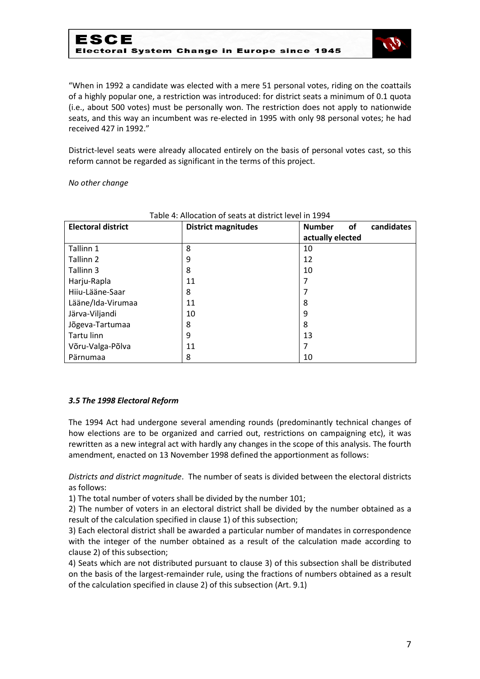

"When in 1992 a candidate was elected with a mere 51 personal votes, riding on the coattails of a highly popular one, a restriction was introduced: for district seats a minimum of 0.1 quota (i.e., about 500 votes) must be personally won. The restriction does not apply to nationwide seats, and this way an incumbent was re-elected in 1995 with only 98 personal votes; he had received 427 in 1992."

District-level seats were already allocated entirely on the basis of personal votes cast, so this reform cannot be regarded as significant in the terms of this project.

*No other change*

| <b>Electoral district</b> | <b>District magnitudes</b> | candidates<br><b>Number</b><br>of |
|---------------------------|----------------------------|-----------------------------------|
|                           |                            | actually elected                  |
| Tallinn 1                 | 8                          | 10                                |
| Tallinn 2                 | 9                          | 12                                |
| Tallinn 3                 | 8                          | 10                                |
| Harju-Rapla               | 11                         |                                   |
| Hiiu-Lääne-Saar           | 8                          |                                   |
| Lääne/Ida-Virumaa         | 11                         | 8                                 |
| Järva-Viljandi            | 10                         | 9                                 |
| Jõgeva-Tartumaa           | 8                          | 8                                 |
| Tartu linn                | 9                          | 13                                |
| Võru-Valga-Põlva          | 11                         | 7                                 |
| Pärnumaa                  | 8                          | 10                                |

#### Table 4: Allocation of seats at district level in 1994

#### *3.5 The 1998 Electoral Reform*

The 1994 Act had undergone several amending rounds (predominantly technical changes of how elections are to be organized and carried out, restrictions on campaigning etc), it was rewritten as a new integral act with hardly any changes in the scope of this analysis. The fourth amendment, enacted on 13 November 1998 defined the apportionment as follows:

*Districts and district magnitude*. The number of seats is divided between the electoral districts as follows:

1) The total number of voters shall be divided by the number 101;

2) The number of voters in an electoral district shall be divided by the number obtained as a result of the calculation specified in clause 1) of this subsection;

3) Each electoral district shall be awarded a particular number of mandates in correspondence with the integer of the number obtained as a result of the calculation made according to clause 2) of this subsection;

4) Seats which are not distributed pursuant to clause 3) of this subsection shall be distributed on the basis of the largest-remainder rule, using the fractions of numbers obtained as a result of the calculation specified in clause 2) of this subsection (Art. 9.1)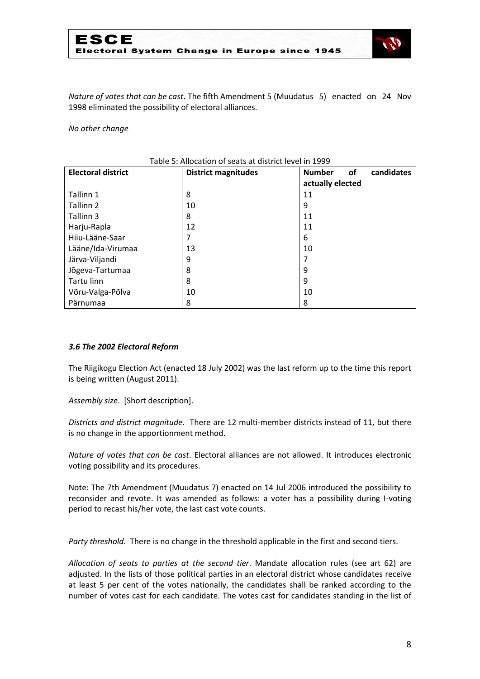

*Nature of votes that can be cast*. The fifth Amendment 5 (Muudatus 5) enacted on 24 Nov 1998 eliminated the possibility of electoral alliances.

*No other change*

| <b>Electoral district</b> | <b>District magnitudes</b> | candidates<br><b>Number</b><br><b>of</b> |
|---------------------------|----------------------------|------------------------------------------|
|                           |                            | actually elected                         |
| Tallinn 1                 | 8                          | 11                                       |
| Tallinn 2                 | 10                         | 9                                        |
| Tallinn 3                 | 8                          | 11                                       |
| Harju-Rapla               | 12                         | 11                                       |
| Hiju-Lääne-Saar           | 7                          | 6                                        |
| Lääne/Ida-Virumaa         | 13                         | 10                                       |
| Järva-Viljandi            | 9                          |                                          |
| Jõgeva-Tartumaa           | 8                          | 9                                        |
| Tartu linn                | 8                          | 9                                        |
| Võru-Valga-Põlva          | 10                         | 10                                       |
| Pärnumaa                  | 8                          | 8                                        |

#### Table 5: Allocation of seats at district level in 1999

#### *3.6 The 2002 Electoral Reform*

The Riigikogu Election Act (enacted 18 July 2002) was the last reform up to the time this report is being written (August 2011).

*Assembly size*. [Short description].

*Districts and district magnitude*. There are 12 multi-member districts instead of 11, but there is no change in the apportionment method.

*Nature of votes that can be cast*. Electoral alliances are not allowed. It introduces electronic voting possibility and its procedures.

Note: The 7th Amendment (Muudatus 7) enacted on 14 Jul 2006 introduced the possibility to reconsider and revote. It was amended as follows: a voter has a possibility during I-voting period to recast his/her vote, the last cast vote counts.

*Party threshold*. There is no change in the threshold applicable in the first and second tiers.

*Allocation of seats to parties at the second tier*. Mandate allocation rules (see art 62) are adjusted. In the lists of those political parties in an electoral district whose candidates receive at least 5 per cent of the votes nationally, the candidates shall be ranked according to the number of votes cast for each candidate. The votes cast for candidates standing in the list of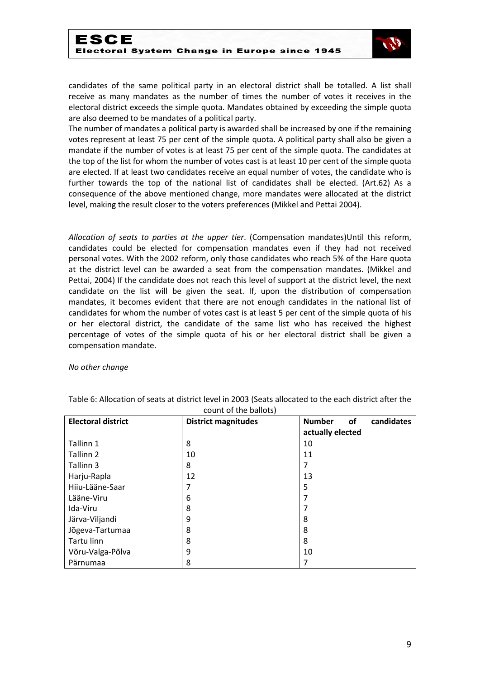

candidates of the same political party in an electoral district shall be totalled. A list shall receive as many mandates as the number of times the number of votes it receives in the electoral district exceeds the simple quota. Mandates obtained by exceeding the simple quota are also deemed to be mandates of a political party.

The number of mandates a political party is awarded shall be increased by one if the remaining votes represent at least 75 per cent of the simple quota. A political party shall also be given a mandate if the number of votes is at least 75 per cent of the simple quota. The candidates at the top of the list for whom the number of votes cast is at least 10 per cent of the simple quota are elected. If at least two candidates receive an equal number of votes, the candidate who is further towards the top of the national list of candidates shall be elected. (Art.62) As a consequence of the above mentioned change, more mandates were allocated at the district level, making the result closer to the voters preferences (Mikkel and Pettai 2004).

*Allocation of seats to parties at the upper tier*. (Compensation mandates)Until this reform, candidates could be elected for compensation mandates even if they had not received personal votes. With the 2002 reform, only those candidates who reach 5% of the Hare quota at the district level can be awarded a seat from the compensation mandates. (Mikkel and Pettai, 2004) If the candidate does not reach this level of support at the district level, the next candidate on the list will be given the seat. If, upon the distribution of compensation mandates, it becomes evident that there are not enough candidates in the national list of candidates for whom the number of votes cast is at least 5 per cent of the simple quota of his or her electoral district, the candidate of the same list who has received the highest percentage of votes of the simple quota of his or her electoral district shall be given a compensation mandate.

*No other change*

| <b>Electoral district</b> | <b>District magnitudes</b> | <b>Number</b><br>candidates<br>of |
|---------------------------|----------------------------|-----------------------------------|
|                           |                            | actually elected                  |
| Tallinn 1                 | 8                          | 10                                |
| Tallinn 2                 | 10                         | 11                                |
| Tallinn 3                 | 8                          |                                   |
| Harju-Rapla               | 12                         | 13                                |
| Hiiu-Lääne-Saar           | 7                          | 5                                 |
| Lääne-Viru                | 6                          |                                   |
| Ida-Viru                  | 8                          |                                   |
| Järva-Viljandi            | 9                          | 8                                 |
| Jõgeva-Tartumaa           | 8                          | 8                                 |
| Tartu linn                | 8                          | 8                                 |
| Võru-Valga-Põlva          | 9                          | 10                                |
| Pärnumaa                  | 8                          |                                   |

Table 6: Allocation of seats at district level in 2003 (Seats allocated to the each district after the count of the ballots)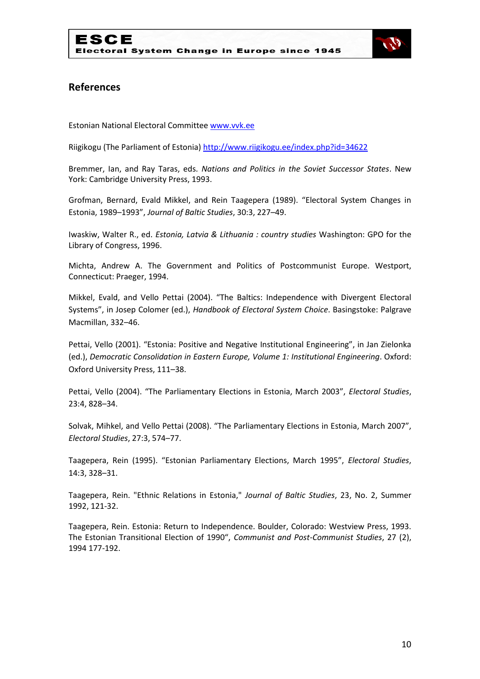

## **References**

Estonian National Electoral Committe[e www.vvk.ee](http://www.vvk.ee/)

Riigikogu (The Parliament of Estonia)<http://www.riigikogu.ee/index.php?id=34622>

Bremmer, Ian, and Ray Taras, eds. *Nations and Politics in the Soviet Successor States*. New York: Cambridge University Press, 1993.

Grofman, Bernard, Evald Mikkel, and Rein Taagepera (1989). "Electoral System Changes in Estonia, 1989–1993", *Journal of Baltic Studies*, 30:3, 227–49.

Iwaskiw, Walter R., ed. *Estonia, Latvia & Lithuania : country studies* Washington: GPO for the Library of Congress, 1996.

Michta, Andrew A. The Government and Politics of Postcommunist Europe. Westport, Connecticut: Praeger, 1994.

Mikkel, Evald, and Vello Pettai (2004). "The Baltics: Independence with Divergent Electoral Systems", in Josep Colomer (ed.), *Handbook of Electoral System Choice*. Basingstoke: Palgrave Macmillan, 332–46.

Pettai, Vello (2001). "Estonia: Positive and Negative Institutional Engineering", in Jan Zielonka (ed.), *Democratic Consolidation in Eastern Europe, Volume 1: Institutional Engineering*. Oxford: Oxford University Press, 111–38.

Pettai, Vello (2004). "The Parliamentary Elections in Estonia, March 2003", *Electoral Studies*, 23:4, 828–34.

Solvak, Mihkel, and Vello Pettai (2008). "The Parliamentary Elections in Estonia, March 2007", *Electoral Studies*, 27:3, 574–77.

Taagepera, Rein (1995). "Estonian Parliamentary Elections, March 1995", *Electoral Studies*, 14:3, 328–31.

Taagepera, Rein. "Ethnic Relations in Estonia," *Journal of Baltic Studies*, 23, No. 2, Summer 1992, 121-32.

Taagepera, Rein. Estonia: Return to Independence. Boulder, Colorado: Westview Press, 1993. The Estonian Transitional Election of 1990", *Communist and Post-Communist Studies*, 27 (2), 1994 177-192.